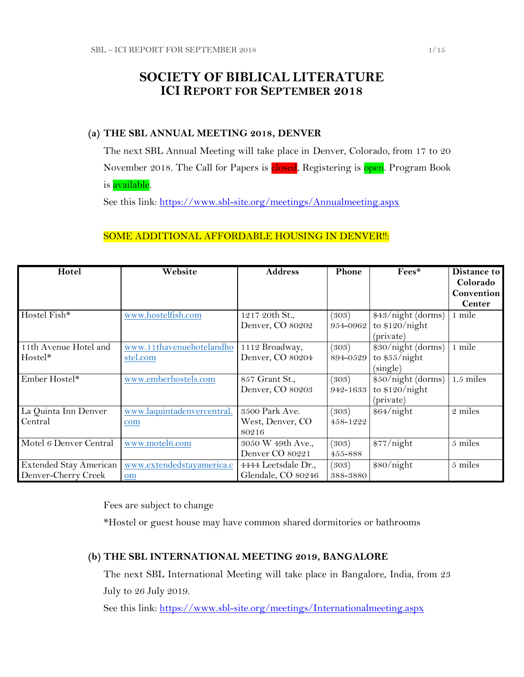## **SOCIETY OF BIBLICAL LITERATURE ICI REPORT FOR SEPTEMBER 2018**

### **(a) THE SBL ANNUAL MEETING 2018, DENVER**

The next SBL Annual Meeting will take place in Denver, Colorado, from 17 to 20 November 2018. The Call for Papers is closed, Registering is open. Program Book is available.

See this link:<https://www.sbl-site.org/meetings/Annualmeeting.aspx>

### SOME ADDITIONAL AFFORDABLE HOUSING IN DENVER !!:

| Hotel                  | Website                    | <b>Address</b>      | Phone    | Fees*              | Distance to   |
|------------------------|----------------------------|---------------------|----------|--------------------|---------------|
|                        |                            |                     |          |                    | Colorado      |
|                        |                            |                     |          |                    | Convention    |
|                        |                            |                     |          |                    | <b>Center</b> |
| Hostel Fish*           | www.hostelfish.com         | 1217 20th St.,      | (303)    | \$43/night (dorms) | 1 mile        |
|                        |                            | Denver, CO 80202    | 954-0962 | to $$120/night$    |               |
|                        |                            |                     |          | (private)          |               |
| 11th Avenue Hotel and  | www.11thavenuehotelandho   | 1112 Broadway,      | (303)    | \$30/night (dorms) | 1 mile        |
| Hostel*                | stel.com                   | Denver, CO 80204    | 894-0529 | to $$55/night$     |               |
|                        |                            |                     |          | (single)           |               |
| Ember Hostel*          | www.emberhostels.com       | 857 Grant St.,      | (303)    | \$50/night (dorms) | $1.5$ miles   |
|                        |                            | Denver, CO 80203    | 942-1633 | to $$120/night$    |               |
|                        |                            |                     |          | (private)          |               |
| La Quinta Inn Denver   | www.laquintadenvercentral. | 3500 Park Ave.      | (303)    | \$64/night         | 2 miles       |
| Central                | com                        | West, Denver, CO    | 458-1222 |                    |               |
|                        |                            | 80216               |          |                    |               |
| Motel 6 Denver Central | www.motel6.com             | 3050 W 49th Ave.,   | (303)    | \$77/night         | 5 miles       |
|                        |                            | Denver CO 80221     | 455-888  |                    |               |
| Extended Stay American | www.extendedstayamerica.c  | 4444 Leetsdale Dr., | (303)    | \$80/night         | 5 miles       |
| Denver-Cherry Creek    | om                         | Glendale, CO 80246  | 388-3880 |                    |               |

Fees are subject to change

\*Hostel or guest house may have common shared dormitories or bathrooms

## **(b) THE SBL INTERNATIONAL MEETING 2019, BANGALORE**

The next SBL International Meeting will take place in Bangalore, India, from 23 July to 26 July 2019.

See this link:<https://www.sbl-site.org/meetings/Internationalmeeting.aspx>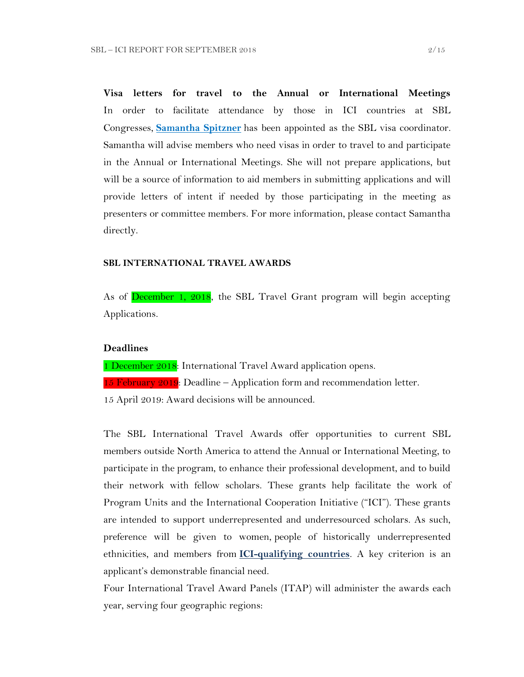**Visa letters for travel to the Annual or International Meetings** In order to facilitate attendance by those in ICI countries at SBL Congresses, **[Samantha Spitzner](mailto:samantha.spitzner@sbl-site.org)** has been appointed as the SBL visa coordinator. Samantha will advise members who need visas in order to travel to and participate in the Annual or International Meetings. She will not prepare applications, but will be a source of information to aid members in submitting applications and will provide letters of intent if needed by those participating in the meeting as presenters or committee members. For more information, please contact Samantha directly.

#### **SBL INTERNATIONAL TRAVEL AWARDS**

As of **December 1, 2018**, the SBL Travel Grant program will begin accepting Applications.

#### **Deadlines**

1 December 2018: International Travel Award application opens.

15 February 2019: Deadline – Application form and recommendation letter.

15 April 2019: Award decisions will be announced.

The SBL International Travel Awards offer opportunities to current SBL members outside North America to attend the Annual or International Meeting, to participate in the program, to enhance their professional development, and to build their network with fellow scholars. These grants help facilitate the work of Program Units and the International Cooperation Initiative ("ICI"). These grants are intended to support underrepresented and underresourced scholars. As such, preference will be given to women, people of historically underrepresented ethnicities, and members from **[ICI-qualifying countries](https://www.sbl-site.org/assets/pdfs/ICIcountries.pdf)**. A key criterion is an applicant's demonstrable financial need.

Four International Travel Award Panels (ITAP) will administer the awards each year, serving four geographic regions: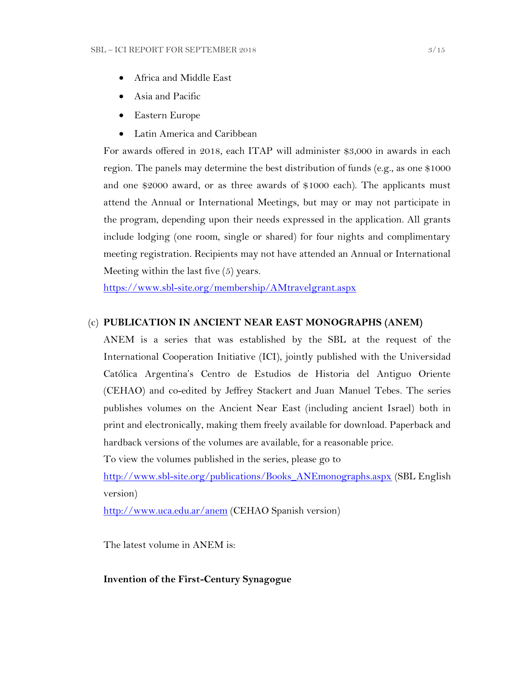- Africa and Middle East
- Asia and Pacific
- Eastern Europe
- Latin America and Caribbean

For awards offered in 2018, each ITAP will administer \$3,000 in awards in each region. The panels may determine the best distribution of funds (e.g., as one \$1000 and one \$2000 award, or as three awards of \$1000 each). The applicants must attend the Annual or International Meetings, but may or may not participate in the program, depending upon their needs expressed in the application. All grants include lodging (one room, single or shared) for four nights and complimentary meeting registration. Recipients may not have attended an Annual or International Meeting within the last five (5) years.

<https://www.sbl-site.org/membership/AMtravelgrant.aspx>

#### (c) **PUBLICATION IN [ANCIENT NEAR EAST MONOGRAPHS](http://www.sbl-site.org/publications/Books_ANEmonographs.aspx) (ANEM)**

ANEM is a series that was established by the SBL at the request of the International Cooperation Initiative (ICI), jointly published with the Universidad Católica Argentina's Centro de Estudios de Historia del Antiguo Oriente (CEHAO) and co-edited by Jeffrey Stackert and Juan Manuel Tebes. The series publishes volumes on the Ancient Near East (including ancient Israel) both in print and electronically, making them freely available for download. Paperback and hardback versions of the volumes are available, for a reasonable price.

To view the volumes published in the series, please go to

[http://www.sbl-site.org/publications/Books\\_ANEmonographs.aspx](http://www.sbl-site.org/publications/Books_ANEmonographs.aspx) (SBL English version)

<http://www.uca.edu.ar/anem> (CEHAO Spanish version)

The latest volume in ANEM is:

#### **Invention of the First-Century Synagogue**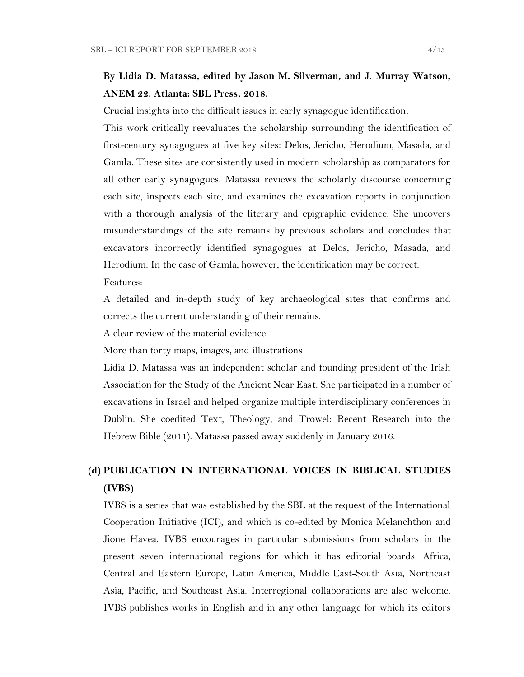## **By Lidia D. Matassa, edited by Jason M. Silverman, and J. Murray Watson, ANEM 22. Atlanta: SBL Press, 2018.**

Crucial insights into the difficult issues in early synagogue identification.

This work critically reevaluates the scholarship surrounding the identification of first-century synagogues at five key sites: Delos, Jericho, Herodium, Masada, and Gamla. These sites are consistently used in modern scholarship as comparators for all other early synagogues. Matassa reviews the scholarly discourse concerning each site, inspects each site, and examines the excavation reports in conjunction with a thorough analysis of the literary and epigraphic evidence. She uncovers misunderstandings of the site remains by previous scholars and concludes that excavators incorrectly identified synagogues at Delos, Jericho, Masada, and Herodium. In the case of Gamla, however, the identification may be correct.

Features:

A detailed and in-depth study of key archaeological sites that confirms and corrects the current understanding of their remains.

A clear review of the material evidence

More than forty maps, images, and illustrations

Lidia D. Matassa was an independent scholar and founding president of the Irish Association for the Study of the Ancient Near East. She participated in a number of excavations in Israel and helped organize multiple interdisciplinary conferences in Dublin. She coedited Text, Theology, and Trowel: Recent Research into the Hebrew Bible (2011). Matassa passed away suddenly in January 2016.

## **(d) PUBLICATION IN INTERNATIONAL VOICES IN BIBLICAL STUDIES (IVBS)**

IVBS is a series that was established by the SBL at the request of the International Cooperation Initiative (ICI), and which is co-edited by Monica Melanchthon and Jione Havea. IVBS encourages in particular submissions from scholars in the present seven international regions for which it has editorial boards: Africa, Central and Eastern Europe, Latin America, Middle East-South Asia, Northeast Asia, Pacific, and Southeast Asia. Interregional collaborations are also welcome. IVBS publishes works in English and in any other language for which its editors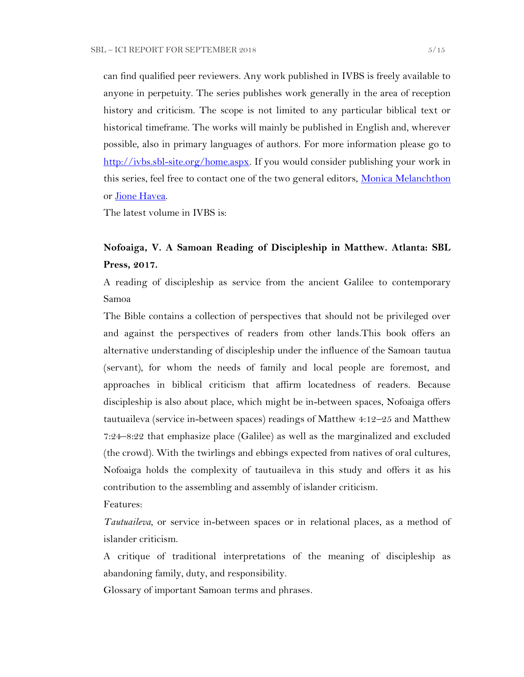can find qualified peer reviewers. Any work published in IVBS is freely available to anyone in perpetuity. The series publishes work generally in the area of reception history and criticism. The scope is not limited to any particular biblical text or historical timeframe. The works will mainly be published in English and, wherever possible, also in primary languages of authors. For more information please go to [http://ivbs.sbl-site.org/home.aspx.](http://ivbs.sbl-site.org/home.aspx) If you would consider publishing your work in this series, feel free to contact one of the two general editors, [Monica Melanchthon](mailto:ivbs2010@gmail.com) or [Jione Havea.](mailto:jioneh@nsw.uca.org.au)

The latest volume in IVBS is:

## **Nofoaiga, V. A Samoan Reading of Discipleship in Matthew. Atlanta: SBL Press, 2017.**

A reading of discipleship as service from the ancient Galilee to contemporary Samoa

The Bible contains a collection of perspectives that should not be privileged over and against the perspectives of readers from other lands.This book offers an alternative understanding of discipleship under the influence of the Samoan tautua (servant), for whom the needs of family and local people are foremost, and approaches in biblical criticism that affirm locatedness of readers. Because discipleship is also about place, which might be in-between spaces, Nofoaiga offers tautuaileva (service in-between spaces) readings of Matthew 4:12–25 and Matthew 7:24–8:22 that emphasize place (Galilee) as well as the marginalized and excluded (the crowd). With the twirlings and ebbings expected from natives of oral cultures, Nofoaiga holds the complexity of tautuaileva in this study and offers it as his contribution to the assembling and assembly of islander criticism.

Features:

*Tautuaileva*, or service in-between spaces or in relational places, as a method of islander criticism.

A critique of traditional interpretations of the meaning of discipleship as abandoning family, duty, and responsibility.

Glossary of important Samoan terms and phrases.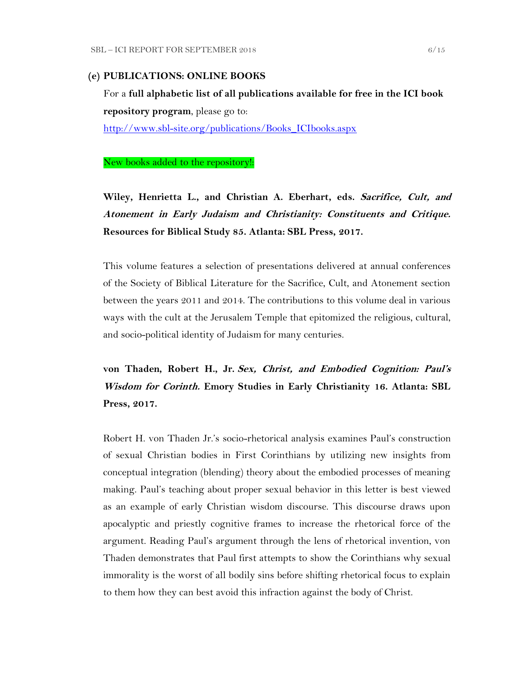#### **(e) PUBLICATIONS: ONLINE BOOKS**

For a **full alphabetic list of all publications available for free in the ICI book repository program**, please go to: [http://www.sbl-site.org/publications/Books\\_ICIbooks.aspx](http://www.sbl-site.org/publications/Books_ICIbooks.aspx)

New books added to the repository!:

**Wiley, Henrietta L., and Christian A. Eberhart, eds. Sacrifice, Cult, and Atonement in Early Judaism and Christianity: Constituents and Critique. Resources for Biblical Study 85. Atlanta: SBL Press, 2017.**

This volume features a selection of presentations delivered at annual conferences of the Society of Biblical Literature for the Sacrifice, Cult, and Atonement section between the years 2011 and 2014. The contributions to this volume deal in various ways with the cult at the Jerusalem Temple that epitomized the religious, cultural, and socio-political identity of Judaism for many centuries.

**von Thaden, Robert H., Jr. Sex, Christ, and Embodied Cognition: Paul's Wisdom for Corinth. Emory Studies in Early Christianity 16. Atlanta: SBL Press, 2017.**

Robert H. von Thaden Jr.'s socio-rhetorical analysis examines Paul's construction of sexual Christian bodies in First Corinthians by utilizing new insights from conceptual integration (blending) theory about the embodied processes of meaning making. Paul's teaching about proper sexual behavior in this letter is best viewed as an example of early Christian wisdom discourse. This discourse draws upon apocalyptic and priestly cognitive frames to increase the rhetorical force of the argument. Reading Paul's argument through the lens of rhetorical invention, von Thaden demonstrates that Paul first attempts to show the Corinthians why sexual immorality is the worst of all bodily sins before shifting rhetorical focus to explain to them how they can best avoid this infraction against the body of Christ.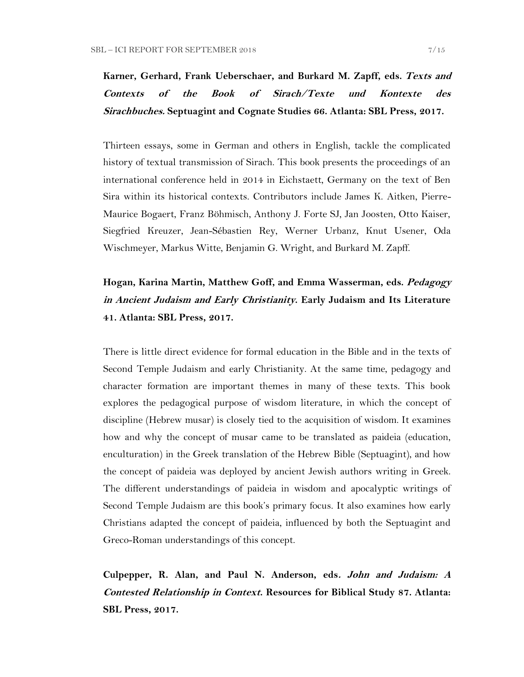**Karner, Gerhard, Frank Ueberschaer, and Burkard M. Zapff, eds. Texts and Contexts of the Book of Sirach/Texte und Kontexte des Sirachbuches. Septuagint and Cognate Studies 66. Atlanta: SBL Press, 2017.**

Thirteen essays, some in German and others in English, tackle the complicated history of textual transmission of Sirach. This book presents the proceedings of an international conference held in 2014 in Eichstaett, Germany on the text of Ben Sira within its historical contexts. Contributors include James K. Aitken, Pierre-Maurice Bogaert, Franz Böhmisch, Anthony J. Forte SJ, Jan Joosten, Otto Kaiser, Siegfried Kreuzer, Jean-Sébastien Rey, Werner Urbanz, Knut Usener, Oda Wischmeyer, Markus Witte, Benjamin G. Wright, and Burkard M. Zapff.

# **Hogan, Karina Martin, Matthew Goff, and Emma Wasserman, eds. Pedagogy in Ancient Judaism and Early Christianity. Early Judaism and Its Literature 41. Atlanta: SBL Press, 2017.**

There is little direct evidence for formal education in the Bible and in the texts of Second Temple Judaism and early Christianity. At the same time, pedagogy and character formation are important themes in many of these texts. This book explores the pedagogical purpose of wisdom literature, in which the concept of discipline (Hebrew musar) is closely tied to the acquisition of wisdom. It examines how and why the concept of musar came to be translated as paideia (education, enculturation) in the Greek translation of the Hebrew Bible (Septuagint), and how the concept of paideia was deployed by ancient Jewish authors writing in Greek. The different understandings of paideia in wisdom and apocalyptic writings of Second Temple Judaism are this book's primary focus. It also examines how early Christians adapted the concept of paideia, influenced by both the Septuagint and Greco-Roman understandings of this concept.

**Culpepper, R. Alan, and Paul N. Anderson, eds. John and Judaism: A Contested Relationship in Context. Resources for Biblical Study 87. Atlanta: SBL Press, 2017.**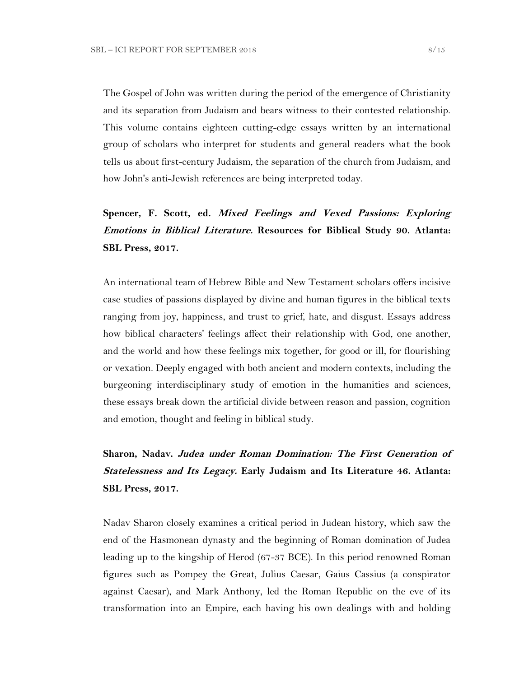The Gospel of John was written during the period of the emergence of Christianity and its separation from Judaism and bears witness to their contested relationship. This volume contains eighteen cutting-edge essays written by an international group of scholars who interpret for students and general readers what the book tells us about first-century Judaism, the separation of the church from Judaism, and how John's anti-Jewish references are being interpreted today.

# **Spencer, F. Scott, ed. Mixed Feelings and Vexed Passions: Exploring Emotions in Biblical Literature. Resources for Biblical Study 90. Atlanta: SBL Press, 2017.**

An international team of Hebrew Bible and New Testament scholars offers incisive case studies of passions displayed by divine and human figures in the biblical texts ranging from joy, happiness, and trust to grief, hate, and disgust. Essays address how biblical characters' feelings affect their relationship with God, one another, and the world and how these feelings mix together, for good or ill, for flourishing or vexation. Deeply engaged with both ancient and modern contexts, including the burgeoning interdisciplinary study of emotion in the humanities and sciences, these essays break down the artificial divide between reason and passion, cognition and emotion, thought and feeling in biblical study.

# **Sharon, Nadav. Judea under Roman Domination: The First Generation of Statelessness and Its Legacy. Early Judaism and Its Literature 46. Atlanta: SBL Press, 2017.**

Nadav Sharon closely examines a critical period in Judean history, which saw the end of the Hasmonean dynasty and the beginning of Roman domination of Judea leading up to the kingship of Herod (67-37 BCE). In this period renowned Roman figures such as Pompey the Great, Julius Caesar, Gaius Cassius (a conspirator against Caesar), and Mark Anthony, led the Roman Republic on the eve of its transformation into an Empire, each having his own dealings with and holding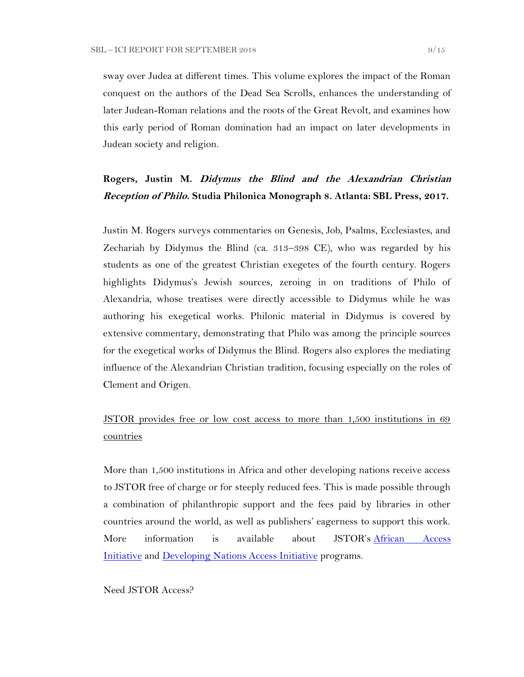sway over Judea at different times. This volume explores the impact of the Roman conquest on the authors of the Dead Sea Scrolls, enhances the understanding of later Judean-Roman relations and the roots of the Great Revolt, and examines how this early period of Roman domination had an impact on later developments in Judean society and religion.

## **Rogers, Justin M. Didymus the Blind and the Alexandrian Christian Reception of Philo. Studia Philonica Monograph 8. Atlanta: SBL Press, 2017.**

Justin M. Rogers surveys commentaries on Genesis, Job, Psalms, Ecclesiastes, and Zechariah by Didymus the Blind (ca. 313–398 CE), who was regarded by his students as one of the greatest Christian exegetes of the fourth century. Rogers highlights Didymus's Jewish sources, zeroing in on traditions of Philo of Alexandria, whose treatises were directly accessible to Didymus while he was authoring his exegetical works. Philonic material in Didymus is covered by extensive commentary, demonstrating that Philo was among the principle sources for the exegetical works of Didymus the Blind. Rogers also explores the mediating influence of the Alexandrian Christian tradition, focusing especially on the roles of Clement and Origen.

# JSTOR provides free or low cost access to more than 1,500 institutions in 69 countries

More than 1,500 institutions in Africa and other developing nations receive access to JSTOR free of charge or for steeply reduced fees. This is made possible through a combination of philanthropic support and the fees paid by libraries in other countries around the world, as well as publishers' eagerness to support this work. More information is available about JSTOR's [African Access](http://about.jstor.org/libraries/african-access-initiative)  [Initiative](http://about.jstor.org/libraries/african-access-initiative) and [Developing Nations Access Initiative](http://about.jstor.org/libraries/developing-nations-access-initiative) programs.

Need JSTOR Access?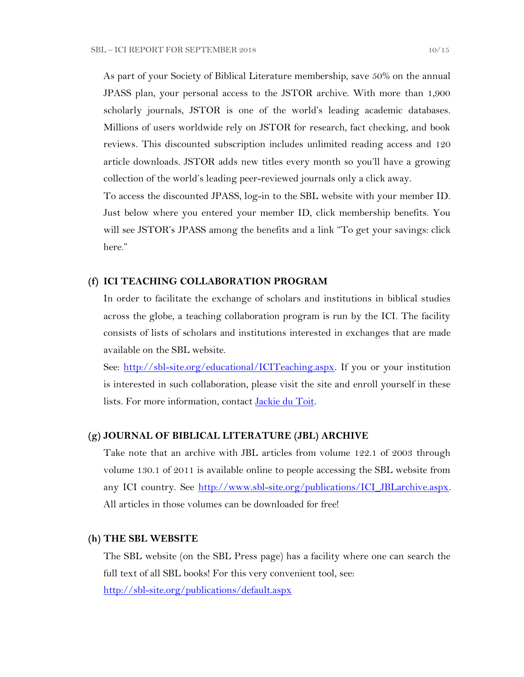As part of your Society of Biblical Literature membership, save 50% on the annual JPASS plan, your personal access to the JSTOR archive. With more than 1,900 scholarly journals, JSTOR is one of the world's leading academic databases. Millions of users worldwide rely on JSTOR for research, fact checking, and book reviews. This discounted subscription includes unlimited reading access and 120 article downloads. JSTOR adds new titles every month so you'll have a growing collection of the world's leading peer-reviewed journals only a click away.

To access the discounted JPASS, log-in to the SBL website with your member ID. Just below where you entered your member ID, click membership benefits. You will see JSTOR's JPASS among the benefits and a link "To get your savings: click here."

#### **(f) ICI TEACHING COLLABORATION PROGRAM**

In order to facilitate the exchange of scholars and institutions in biblical studies across the globe, a teaching collaboration program is run by the ICI. The facility consists of lists of scholars and institutions interested in exchanges that are made available on the SBL website.

See: [http://sbl-site.org/educational/ICITeaching.aspx.](http://sbl-site.org/educational/ICITeaching.aspx) If you or your institution is interested in such collaboration, please visit the site and enroll yourself in these lists. For more information, contact [Jackie du Toit.](mailto:dutoitjs@ufs.ac.za)

#### **(g) JOURNAL OF BIBLICAL LITERATURE (JBL) ARCHIVE**

Take note that an archive with JBL articles from volume 122.1 of 2003 through volume 130.1 of 2011 is available online to people accessing the SBL website from any ICI country. See http://www.sbl-site.org/publications/ICI\_JBLarchive.aspx. All articles in those volumes can be downloaded for free!

#### **(h) THE SBL WEBSITE**

The SBL website (on the SBL Press page) has a facility where one can search the full text of all SBL books! For this very convenient tool, see:

<http://sbl-site.org/publications/default.aspx>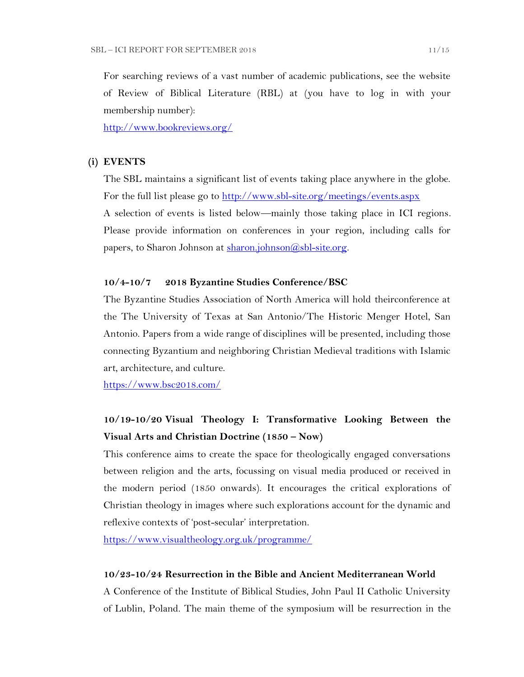For searching reviews of a vast number of academic publications, see the website of Review of Biblical Literature (RBL) at (you have to log in with your membership number):

<http://www.bookreviews.org/>

#### **(i) EVENTS**

The SBL maintains a significant list of events taking place anywhere in the globe. For the full list please go to<http://www.sbl-site.org/meetings/events.aspx> A selection of events is listed below—mainly those taking place in ICI regions. Please provide information on conferences in your region, including calls for papers, to Sharon Johnson at [sharon.johnson@sbl-site.org.](mailto:sharon.johnson@sbl-site.org)

#### **10/4-10/7 2018 Byzantine Studies Conference/BSC**

The Byzantine Studies Association of North America will hold theirconference at the The University of Texas at San Antonio/The Historic Menger Hotel, San Antonio. Papers from a wide range of disciplines will be presented, including those connecting Byzantium and neighboring Christian Medieval traditions with Islamic art, architecture, and culture.

<https://www.bsc2018.com/>

## **10/19-10/20 Visual Theology I: Transformative Looking Between the Visual Arts and Christian Doctrine (1850 – Now)**

This conference aims to create the space for theologically engaged conversations between religion and the arts, focussing on visual media produced or received in the modern period (1850 onwards). It encourages the critical explorations of Christian theology in images where such explorations account for the dynamic and reflexive contexts of 'post-secular' interpretation.

<https://www.visualtheology.org.uk/programme/>

#### **10/23-10/24 Resurrection in the Bible and Ancient Mediterranean World**

A Conference of the Institute of Biblical Studies, John Paul II Catholic University of Lublin, Poland. The main theme of the symposium will be resurrection in the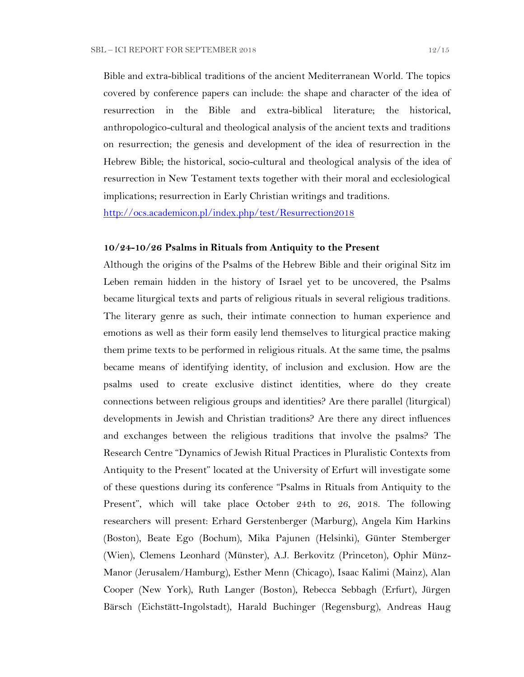Bible and extra-biblical traditions of the ancient Mediterranean World. The topics covered by conference papers can include: the shape and character of the idea of resurrection in the Bible and extra-biblical literature; the historical, anthropologico-cultural and theological analysis of the ancient texts and traditions on resurrection; the genesis and development of the idea of resurrection in the Hebrew Bible; the historical, socio-cultural and theological analysis of the idea of resurrection in New Testament texts together with their moral and ecclesiological implications; resurrection in Early Christian writings and traditions.

<http://ocs.academicon.pl/index.php/test/Resurrection2018>

#### **10/24-10/26 Psalms in Rituals from Antiquity to the Present**

Although the origins of the Psalms of the Hebrew Bible and their original Sitz im Leben remain hidden in the history of Israel yet to be uncovered, the Psalms became liturgical texts and parts of religious rituals in several religious traditions. The literary genre as such, their intimate connection to human experience and emotions as well as their form easily lend themselves to liturgical practice making them prime texts to be performed in religious rituals. At the same time, the psalms became means of identifying identity, of inclusion and exclusion. How are the psalms used to create exclusive distinct identities, where do they create connections between religious groups and identities? Are there parallel (liturgical) developments in Jewish and Christian traditions? Are there any direct influences and exchanges between the religious traditions that involve the psalms? The Research Centre "Dynamics of Jewish Ritual Practices in Pluralistic Contexts from Antiquity to the Present" located at the University of Erfurt will investigate some of these questions during its conference "Psalms in Rituals from Antiquity to the Present", which will take place October 24th to 26, 2018. The following researchers will present: Erhard Gerstenberger (Marburg), Angela Kim Harkins (Boston), Beate Ego (Bochum), Mika Pajunen (Helsinki), Günter Stemberger (Wien), Clemens Leonhard (Münster), A.J. Berkovitz (Princeton), Ophir Münz-Manor (Jerusalem/Hamburg), Esther Menn (Chicago), Isaac Kalimi (Mainz), Alan Cooper (New York), Ruth Langer (Boston), Rebecca Sebbagh (Erfurt), Jürgen Bärsch (Eichstätt-Ingolstadt), Harald Buchinger (Regensburg), Andreas Haug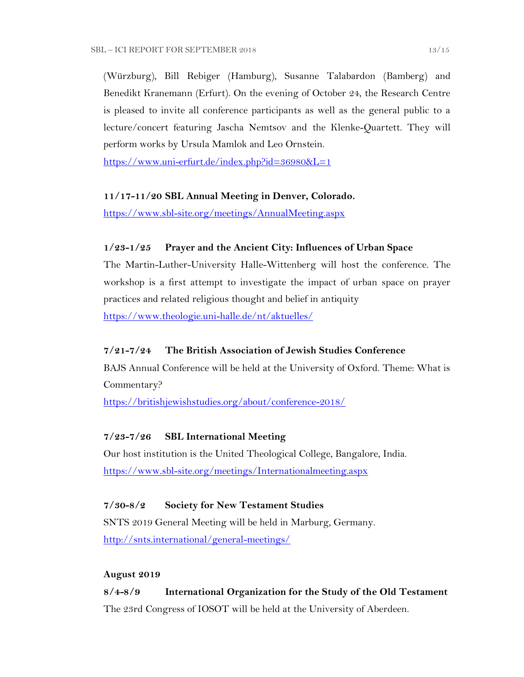(Würzburg), Bill Rebiger (Hamburg), Susanne Talabardon (Bamberg) and Benedikt Kranemann (Erfurt). On the evening of October 24, the Research Centre is pleased to invite all conference participants as well as the general public to a lecture/concert featuring Jascha Nemtsov and the Klenke-Quartett. They will perform works by Ursula Mamlok and Leo Ornstein.

<https://www.uni-erfurt.de/index.php?id=36980&L=1>

### **11/17-11/20 SBL Annual Meeting in Denver, Colorado.**

<https://www.sbl-site.org/meetings/AnnualMeeting.aspx>

## **1/23-1/25 Prayer and the Ancient City: Influences of Urban Space**

The Martin-Luther-University Halle-Wittenberg will host the conference. The workshop is a first attempt to investigate the impact of urban space on prayer practices and related religious thought and belief in antiquity <https://www.theologie.uni-halle.de/nt/aktuelles/>

## **7/21-7/24 The British Association of Jewish Studies Conference**

BAJS Annual Conference will be held at the University of Oxford. Theme: What is Commentary?

<https://britishjewishstudies.org/about/conference-2018/>

## **7/23-7/26 SBL International Meeting**

Our host institution is the United Theological College, Bangalore, India. <https://www.sbl-site.org/meetings/Internationalmeeting.aspx>

## **7/30-8/2 Society for New Testament Studies**

SNTS 2019 General Meeting will be held in Marburg, Germany. <http://snts.international/general-meetings/>

### **August 2019**

## **8/4-8/9 International Organization for the Study of the Old Testament** The 23rd Congress of IOSOT will be held at the University of Aberdeen.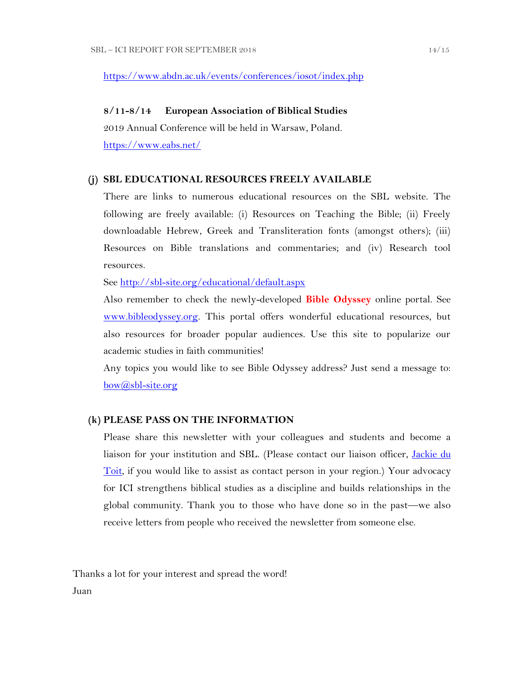#### <https://www.abdn.ac.uk/events/conferences/iosot/index.php>

#### **8/11-8/14 European Association of Biblical Studies**

2019 Annual Conference will be held in Warsaw, Poland. <https://www.eabs.net/>

#### **(j) SBL EDUCATIONAL RESOURCES FREELY AVAILABLE**

There are links to numerous educational resources on the SBL website. The following are freely available: (i) Resources on Teaching the Bible; (ii) Freely downloadable Hebrew, Greek and Transliteration fonts (amongst others); (iii) Resources on Bible translations and commentaries; and (iv) Research tool resources.

See<http://sbl-site.org/educational/default.aspx>

Also remember to check the newly-developed **Bible Odyssey** online portal. See [www.bibleodyssey.org.](http://www.bibleodyssey.org/) This portal offers wonderful educational resources, but also resources for broader popular audiences. Use this site to popularize our academic studies in faith communities!

Any topics you would like to see Bible Odyssey address? Just send a message to: [bow@sbl-site.org](mailto:bow@sbl-site.org)

#### **(k) PLEASE PASS ON THE INFORMATION**

Please share this newsletter with your colleagues and students and become a liaison for your institution and SBL. (Please contact our liaison officer, *Jackie du* [Toit,](mailto:dutoitjs@ufs.ac.za) if you would like to assist as contact person in your region.) Your advocacy for ICI strengthens biblical studies as a discipline and builds relationships in the global community. Thank you to those who have done so in the past—we also receive letters from people who received the newsletter from someone else.

Thanks a lot for your interest and spread the word! Juan